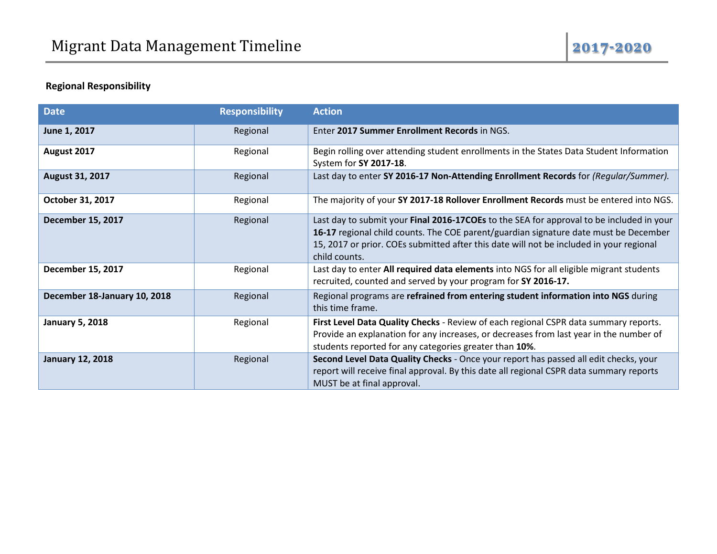# **Regional Responsibility**

| <b>Date</b>                  | <b>Responsibility</b> | <b>Action</b>                                                                                                                                                                                                                                                                                |
|------------------------------|-----------------------|----------------------------------------------------------------------------------------------------------------------------------------------------------------------------------------------------------------------------------------------------------------------------------------------|
| June 1, 2017                 | Regional              | Enter 2017 Summer Enrollment Records in NGS.                                                                                                                                                                                                                                                 |
| August 2017                  | Regional              | Begin rolling over attending student enrollments in the States Data Student Information<br>System for SY 2017-18.                                                                                                                                                                            |
| August 31, 2017              | Regional              | Last day to enter SY 2016-17 Non-Attending Enrollment Records for (Regular/Summer).                                                                                                                                                                                                          |
| October 31, 2017             | Regional              | The majority of your SY 2017-18 Rollover Enrollment Records must be entered into NGS.                                                                                                                                                                                                        |
| December 15, 2017            | Regional              | Last day to submit your Final 2016-17COEs to the SEA for approval to be included in your<br>16-17 regional child counts. The COE parent/guardian signature date must be December<br>15, 2017 or prior. COEs submitted after this date will not be included in your regional<br>child counts. |
| December 15, 2017            | Regional              | Last day to enter All required data elements into NGS for all eligible migrant students<br>recruited, counted and served by your program for SY 2016-17.                                                                                                                                     |
| December 18-January 10, 2018 | Regional              | Regional programs are refrained from entering student information into NGS during<br>this time frame.                                                                                                                                                                                        |
| <b>January 5, 2018</b>       | Regional              | First Level Data Quality Checks - Review of each regional CSPR data summary reports.<br>Provide an explanation for any increases, or decreases from last year in the number of<br>students reported for any categories greater than 10%.                                                     |
| <b>January 12, 2018</b>      | Regional              | Second Level Data Quality Checks - Once your report has passed all edit checks, your<br>report will receive final approval. By this date all regional CSPR data summary reports<br>MUST be at final approval.                                                                                |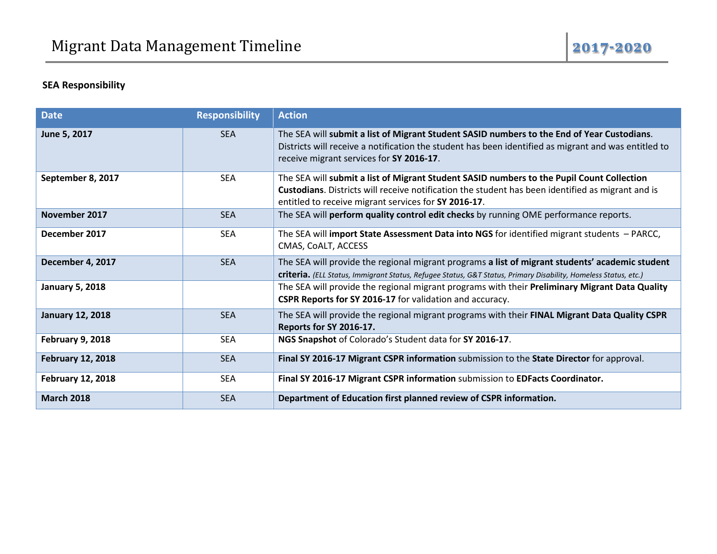## **SEA Responsibility**

| <b>Date</b>              | <b>Responsibility</b> | <b>Action</b>                                                                                                                                                                                                                                          |
|--------------------------|-----------------------|--------------------------------------------------------------------------------------------------------------------------------------------------------------------------------------------------------------------------------------------------------|
| June 5, 2017             | <b>SEA</b>            | The SEA will submit a list of Migrant Student SASID numbers to the End of Year Custodians.<br>Districts will receive a notification the student has been identified as migrant and was entitled to<br>receive migrant services for SY 2016-17.         |
| September 8, 2017        | <b>SEA</b>            | The SEA will submit a list of Migrant Student SASID numbers to the Pupil Count Collection<br>Custodians. Districts will receive notification the student has been identified as migrant and is<br>entitled to receive migrant services for SY 2016-17. |
| November 2017            | <b>SEA</b>            | The SEA will perform quality control edit checks by running OME performance reports.                                                                                                                                                                   |
| December 2017            | <b>SEA</b>            | The SEA will import State Assessment Data into NGS for identified migrant students - PARCC,<br>CMAS, COALT, ACCESS                                                                                                                                     |
| December 4, 2017         | <b>SEA</b>            | The SEA will provide the regional migrant programs a list of migrant students' academic student<br>criteria. (ELL Status, Immigrant Status, Refugee Status, G&T Status, Primary Disability, Homeless Status, etc.)                                     |
| <b>January 5, 2018</b>   |                       | The SEA will provide the regional migrant programs with their Preliminary Migrant Data Quality<br>CSPR Reports for SY 2016-17 for validation and accuracy.                                                                                             |
| <b>January 12, 2018</b>  | <b>SEA</b>            | The SEA will provide the regional migrant programs with their FINAL Migrant Data Quality CSPR<br>Reports for SY 2016-17.                                                                                                                               |
| <b>February 9, 2018</b>  | <b>SEA</b>            | NGS Snapshot of Colorado's Student data for SY 2016-17.                                                                                                                                                                                                |
| <b>February 12, 2018</b> | <b>SEA</b>            | Final SY 2016-17 Migrant CSPR information submission to the State Director for approval.                                                                                                                                                               |
| <b>February 12, 2018</b> | <b>SEA</b>            | Final SY 2016-17 Migrant CSPR information submission to EDFacts Coordinator.                                                                                                                                                                           |
| <b>March 2018</b>        | <b>SEA</b>            | Department of Education first planned review of CSPR information.                                                                                                                                                                                      |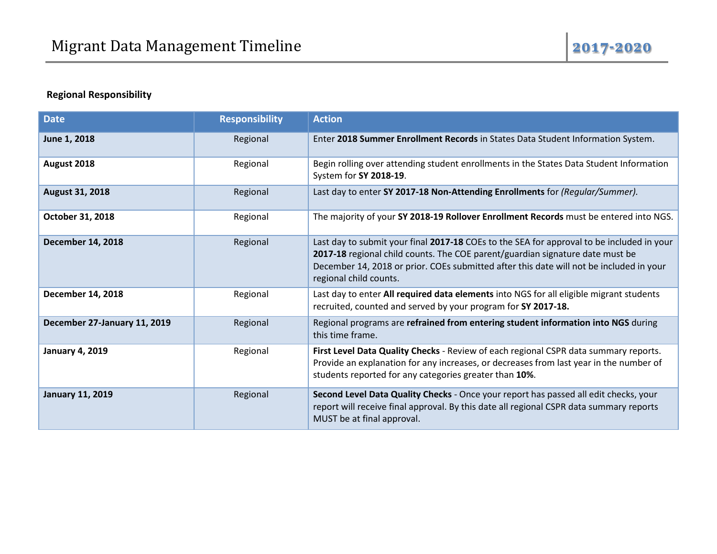## **Regional Responsibility**

| <b>Date</b>                  | <b>Responsibility</b> | <b>Action</b>                                                                                                                                                                                                                                                                                   |
|------------------------------|-----------------------|-------------------------------------------------------------------------------------------------------------------------------------------------------------------------------------------------------------------------------------------------------------------------------------------------|
| June 1, 2018                 | Regional              | Enter 2018 Summer Enrollment Records in States Data Student Information System.                                                                                                                                                                                                                 |
| August 2018                  | Regional              | Begin rolling over attending student enrollments in the States Data Student Information<br>System for SY 2018-19.                                                                                                                                                                               |
| <b>August 31, 2018</b>       | Regional              | Last day to enter SY 2017-18 Non-Attending Enrollments for (Regular/Summer).                                                                                                                                                                                                                    |
| October 31, 2018             | Regional              | The majority of your SY 2018-19 Rollover Enrollment Records must be entered into NGS.                                                                                                                                                                                                           |
| <b>December 14, 2018</b>     | Regional              | Last day to submit your final 2017-18 COEs to the SEA for approval to be included in your<br>2017-18 regional child counts. The COE parent/guardian signature date must be<br>December 14, 2018 or prior. COEs submitted after this date will not be included in your<br>regional child counts. |
| <b>December 14, 2018</b>     | Regional              | Last day to enter All required data elements into NGS for all eligible migrant students<br>recruited, counted and served by your program for SY 2017-18.                                                                                                                                        |
| December 27-January 11, 2019 | Regional              | Regional programs are refrained from entering student information into NGS during<br>this time frame.                                                                                                                                                                                           |
| <b>January 4, 2019</b>       | Regional              | First Level Data Quality Checks - Review of each regional CSPR data summary reports.<br>Provide an explanation for any increases, or decreases from last year in the number of<br>students reported for any categories greater than 10%.                                                        |
| <b>January 11, 2019</b>      | Regional              | Second Level Data Quality Checks - Once your report has passed all edit checks, your<br>report will receive final approval. By this date all regional CSPR data summary reports<br>MUST be at final approval.                                                                                   |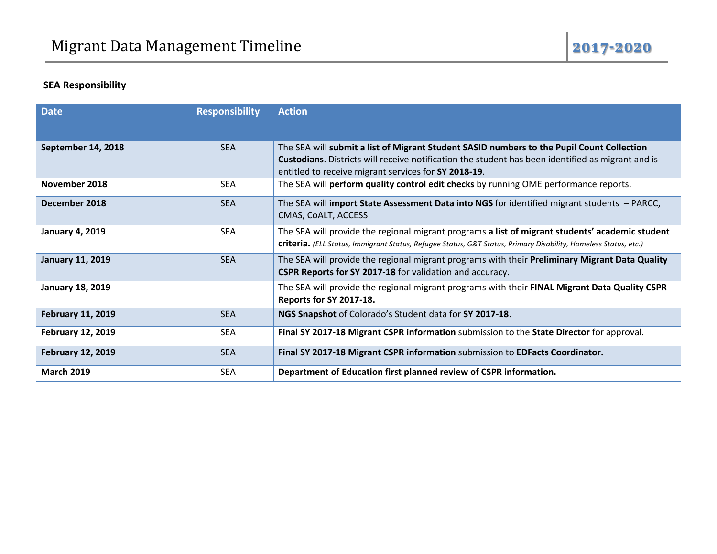## **SEA Responsibility**

| <b>Date</b>              | <b>Responsibility</b> | <b>Action</b>                                                                                                                                                                                                                                          |
|--------------------------|-----------------------|--------------------------------------------------------------------------------------------------------------------------------------------------------------------------------------------------------------------------------------------------------|
|                          |                       |                                                                                                                                                                                                                                                        |
| September 14, 2018       | <b>SEA</b>            | The SEA will submit a list of Migrant Student SASID numbers to the Pupil Count Collection<br>Custodians. Districts will receive notification the student has been identified as migrant and is<br>entitled to receive migrant services for SY 2018-19. |
| November 2018            | <b>SEA</b>            | The SEA will perform quality control edit checks by running OME performance reports.                                                                                                                                                                   |
| December 2018            | <b>SEA</b>            | The SEA will import State Assessment Data into NGS for identified migrant students $-$ PARCC,<br>CMAS, COALT, ACCESS                                                                                                                                   |
| <b>January 4, 2019</b>   | <b>SEA</b>            | The SEA will provide the regional migrant programs a list of migrant students' academic student<br><b>criteria.</b> (ELL Status, Immigrant Status, Refugee Status, G&T Status, Primary Disability, Homeless Status, etc.)                              |
| <b>January 11, 2019</b>  | <b>SEA</b>            | The SEA will provide the regional migrant programs with their Preliminary Migrant Data Quality<br>CSPR Reports for SY 2017-18 for validation and accuracy.                                                                                             |
| <b>January 18, 2019</b>  |                       | The SEA will provide the regional migrant programs with their FINAL Migrant Data Quality CSPR<br>Reports for SY 2017-18.                                                                                                                               |
| <b>February 11, 2019</b> | <b>SEA</b>            | NGS Snapshot of Colorado's Student data for SY 2017-18.                                                                                                                                                                                                |
| <b>February 12, 2019</b> | <b>SEA</b>            | Final SY 2017-18 Migrant CSPR information submission to the State Director for approval.                                                                                                                                                               |
| <b>February 12, 2019</b> | <b>SEA</b>            | Final SY 2017-18 Migrant CSPR information submission to EDFacts Coordinator.                                                                                                                                                                           |
| <b>March 2019</b>        | <b>SEA</b>            | Department of Education first planned review of CSPR information.                                                                                                                                                                                      |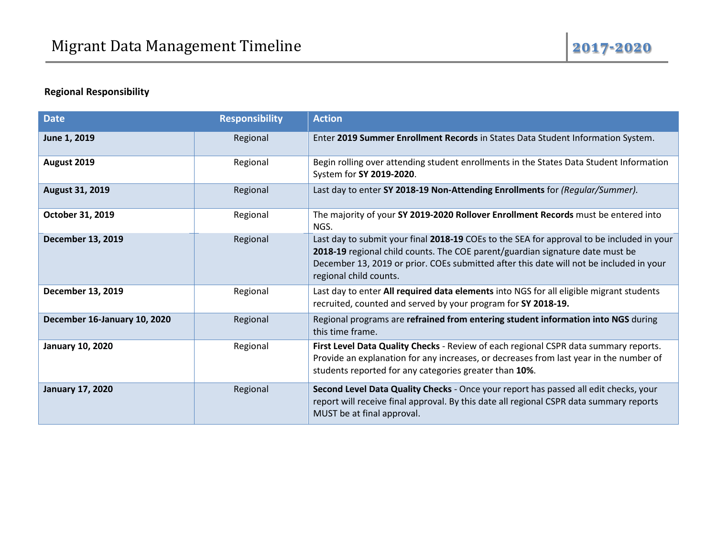#### **Regional Responsibility**

| <b>Date</b>                  | <b>Responsibility</b> | <b>Action</b>                                                                                                                                                                                                                                                                                   |
|------------------------------|-----------------------|-------------------------------------------------------------------------------------------------------------------------------------------------------------------------------------------------------------------------------------------------------------------------------------------------|
| June 1, 2019                 | Regional              | Enter 2019 Summer Enrollment Records in States Data Student Information System.                                                                                                                                                                                                                 |
| August 2019                  | Regional              | Begin rolling over attending student enrollments in the States Data Student Information<br>System for SY 2019-2020.                                                                                                                                                                             |
| August 31, 2019              | Regional              | Last day to enter SY 2018-19 Non-Attending Enrollments for (Regular/Summer).                                                                                                                                                                                                                    |
| October 31, 2019             | Regional              | The majority of your SY 2019-2020 Rollover Enrollment Records must be entered into<br>NGS.                                                                                                                                                                                                      |
| December 13, 2019            | Regional              | Last day to submit your final 2018-19 COEs to the SEA for approval to be included in your<br>2018-19 regional child counts. The COE parent/guardian signature date must be<br>December 13, 2019 or prior. COEs submitted after this date will not be included in your<br>regional child counts. |
| December 13, 2019            | Regional              | Last day to enter All required data elements into NGS for all eligible migrant students<br>recruited, counted and served by your program for SY 2018-19.                                                                                                                                        |
| December 16-January 10, 2020 | Regional              | Regional programs are refrained from entering student information into NGS during<br>this time frame.                                                                                                                                                                                           |
| <b>January 10, 2020</b>      | Regional              | First Level Data Quality Checks - Review of each regional CSPR data summary reports.<br>Provide an explanation for any increases, or decreases from last year in the number of<br>students reported for any categories greater than 10%.                                                        |
| <b>January 17, 2020</b>      | Regional              | Second Level Data Quality Checks - Once your report has passed all edit checks, your<br>report will receive final approval. By this date all regional CSPR data summary reports<br>MUST be at final approval.                                                                                   |